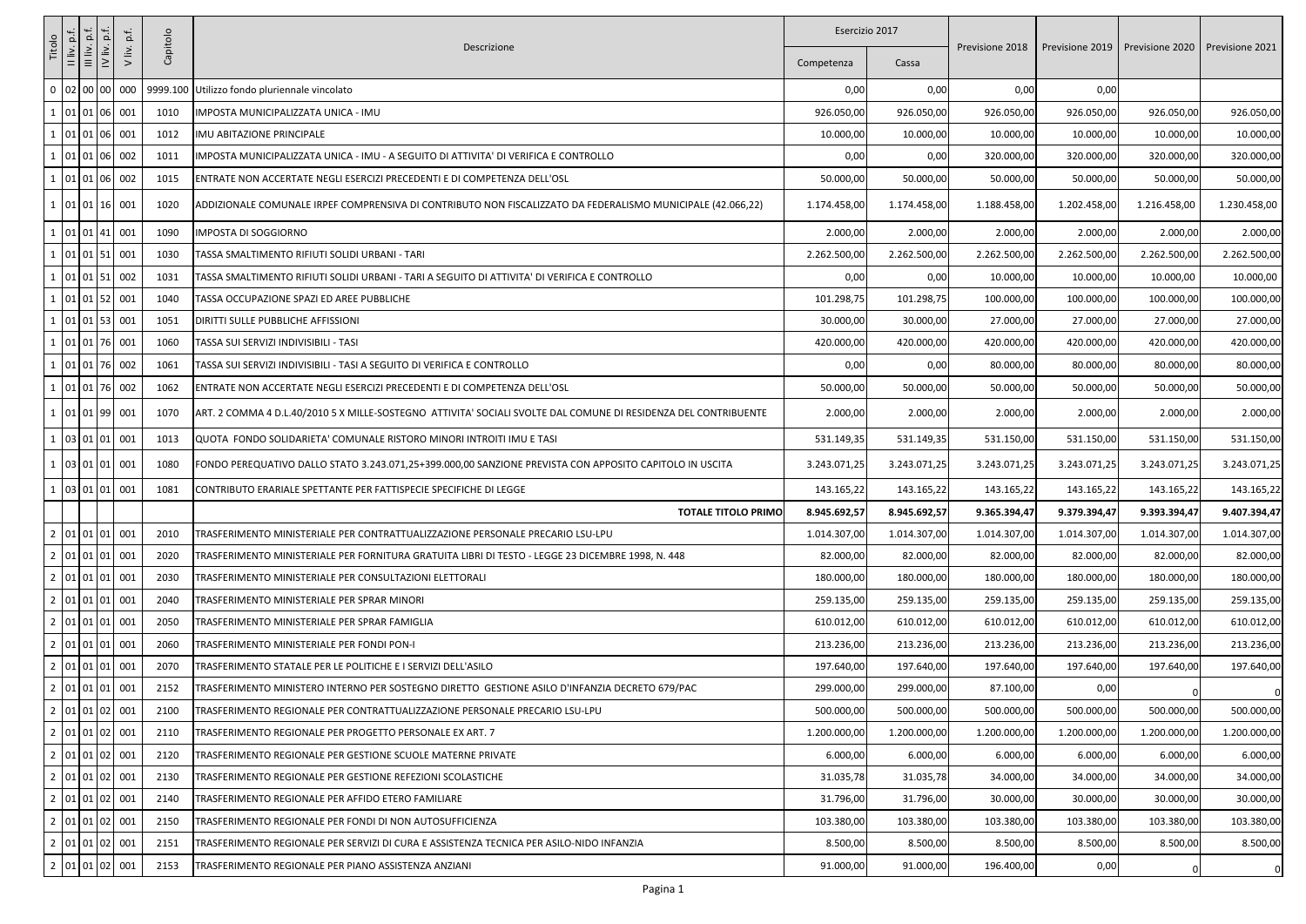|        | t.a                                | $\frac{1}{2}$ | p.f.                   | Capitolo | Descrizione                                                                                                     | Esercizio 2017 |              | Previsione 2018 | Previsione 2019   Previsione 2020 |              | Previsione 2021 |
|--------|------------------------------------|---------------|------------------------|----------|-----------------------------------------------------------------------------------------------------------------|----------------|--------------|-----------------|-----------------------------------|--------------|-----------------|
| Titolo | II liv. p.f.<br>$\geq$<br>$\equiv$ | $\geq$        | i≥.<br>$\geq$          |          |                                                                                                                 | Competenza     | Cassa        |                 |                                   |              |                 |
|        | 0  02 00 00 000                    |               |                        |          | 9999.100 Utilizzo fondo pluriennale vincolato                                                                   | 0,00           | 0,00         | 0,00            | 0,00                              |              |                 |
|        |                                    |               | 1   01   01   06   001 | 1010     | IMPOSTA MUNICIPALIZZATA UNICA - IMU                                                                             | 926.050,00     | 926.050,00   | 926.050,00      | 926.050,00                        | 926.050,00   | 926.050,00      |
|        |                                    |               | 1   01   01   06   001 | 1012     | IMU ABITAZIONE PRINCIPALE                                                                                       | 10.000,00      | 10.000,00    | 10.000,00       | 10.000,00                         | 10.000,00    | 10.000,00       |
|        |                                    |               | 1   01   01   06   002 | 1011     | IMPOSTA MUNICIPALIZZATA UNICA - IMU - A SEGUITO DI ATTIVITA' DI VERIFICA E CONTROLLO                            | 0,00           | 0,00         | 320.000,00      | 320.000,00                        | 320.000,00   | 320.000,00      |
|        |                                    |               | 1   01   01   06   002 | 1015     | ENTRATE NON ACCERTATE NEGLI ESERCIZI PRECEDENTI E DI COMPETENZA DELL'OSL                                        | 50.000,00      | 50.000,00    | 50.000,00       | 50.000,00                         | 50.000,00    | 50.000,00       |
|        |                                    |               | 1   01   01   16   001 | 1020     | ADDIZIONALE COMUNALE IRPEF COMPRENSIVA DI CONTRIBUTO NON FISCALIZZATO DA FEDERALISMO MUNICIPALE (42.066,22)     | 1.174.458,00   | 1.174.458,00 | 1.188.458,00    | 1.202.458,00                      | 1.216.458,00 | 1.230.458,00    |
|        |                                    |               | $\log  01 $ 01 41 001  | 1090     | <b>IMPOSTA DI SOGGIORNO</b>                                                                                     | 2.000,00       | 2.000,00     | 2.000,00        | 2.000,00                          | 2.000,00     | 2.000,00        |
|        |                                    |               | 1 01 01 51 001         | 1030     | TASSA SMALTIMENTO RIFIUTI SOLIDI URBANI - TARI                                                                  | 2.262.500,00   | 2.262.500,00 | 2.262.500,00    | 2.262.500,00                      | 2.262.500,00 | 2.262.500,00    |
|        | 1   01   01   51                   |               | 002                    | 1031     | TASSA SMALTIMENTO RIFIUTI SOLIDI URBANI - TARI A SEGUITO DI ATTIVITA' DI VERIFICA E CONTROLLO                   | 0,00           | 0,00         | 10.000,00       | 10.000,00                         | 10.000,00    | 10.000,00       |
|        |                                    |               | 1   01   01   52   001 | 1040     | TASSA OCCUPAZIONE SPAZI ED AREE PUBBLICHE                                                                       | 101.298,75     | 101.298,75   | 100.000,00      | 100.000,00                        | 100.000,00   | 100.000,00      |
|        |                                    |               | 1   01   01   53   001 | 1051     | <b>DIRITTI SULLE PUBBLICHE AFFISSIONI</b>                                                                       | 30.000,00      | 30.000,00    | 27.000,00       | 27.000,00                         | 27.000,00    | 27.000,00       |
|        |                                    |               | 1 01 01 76 001         | 1060     | TASSA SUI SERVIZI INDIVISIBILI - TASI                                                                           | 420.000,00     | 420.000,00   | 420.000,00      | 420.000,00                        | 420.000,00   | 420.000,00      |
|        |                                    |               | 1 01 01 76 002         | 1061     | TASSA SUI SERVIZI INDIVISIBILI - TASI A SEGUITO DI VERIFICA E CONTROLLO                                         | 0,00           | 0,00         | 80.000,00       | 80.000,00                         | 80.000,00    | 80.000,00       |
|        |                                    |               | 1   01   01   76   002 | 1062     | ENTRATE NON ACCERTATE NEGLI ESERCIZI PRECEDENTI E DI COMPETENZA DELL'OSL                                        | 50.000,00      | 50.000,00    | 50.000,00       | 50.000,00                         | 50.000,00    | 50.000,00       |
|        |                                    |               | 1 01 01 99 001         | 1070     | ART. 2 COMMA 4 D.L.40/2010 5 X MILLE-SOSTEGNO ATTIVITA' SOCIALI SVOLTE DAL COMUNE DI RESIDENZA DEL CONTRIBUENTE | 2.000,00       | 2.000,00     | 2.000,00        | 2.000,00                          | 2.000,00     | 2.000,00        |
|        |                                    |               | 03 01 01 001           | 1013     | QUOTA FONDO SOLIDARIETA' COMUNALE RISTORO MINORI INTROITI IMU E TASI                                            | 531.149,35     | 531.149,35   | 531.150,00      | 531.150,00                        | 531.150,00   | 531.150,00      |
|        |                                    |               | 1 03 01 01 001         | 1080     | FONDO PEREQUATIVO DALLO STATO 3.243.071,25+399.000,00 SANZIONE PREVISTA CON APPOSITO CAPITOLO IN USCITA         | 3.243.071,25   | 3.243.071,25 | 3.243.071,25    | 3.243.071,25                      | 3.243.071,25 | 3.243.071,25    |
|        |                                    |               | 1   03   01   01   001 | 1081     | CONTRIBUTO ERARIALE SPETTANTE PER FATTISPECIE SPECIFICHE DI LEGGE                                               | 143.165,22     | 143.165,22   | 143.165,22      | 143.165,22                        | 143.165,22   | 143.165,22      |
|        |                                    |               |                        |          | <b>TOTALE TITOLO PRIMO</b>                                                                                      | 8.945.692,57   | 8.945.692,57 | 9.365.394,47    | 9.379.394,47                      | 9.393.394,47 | 9.407.394,47    |
|        |                                    |               | 2  01  01  01   001    | 2010     | TRASFERIMENTO MINISTERIALE PER CONTRATTUALIZZAZIONE PERSONALE PRECARIO LSU-LPU                                  | 1.014.307,00   | 1.014.307,00 | 1.014.307,00    | 1.014.307,00                      | 1.014.307,00 | 1.014.307,00    |
|        |                                    |               | 2  01  01  01  001     | 2020     | TRASFERIMENTO MINISTERIALE PER FORNITURA GRATUITA LIBRI DI TESTO - LEGGE 23 DICEMBRE 1998, N. 448               | 82.000,00      | 82.000,00    | 82.000,00       | 82.000,00                         | 82.000,00    | 82.000,00       |
|        |                                    |               | 2   01   01   01   001 | 2030     | TRASFERIMENTO MINISTERIALE PER CONSULTAZIONI ELETTORALI                                                         | 180.000,00     | 180.000,00   | 180.000,00      | 180.000,00                        | 180.000,00   | 180.000,00      |
|        |                                    |               | 2   01   01   01   001 | 2040     | TRASFERIMENTO MINISTERIALE PER SPRAR MINORI                                                                     | 259.135,00     | 259.135,00   | 259.135,00      | 259.135,00                        | 259.135,00   | 259.135,00      |
|        |                                    |               | 2   01   01   01   001 | 2050     | TRASFERIMENTO MINISTERIALE PER SPRAR FAMIGLIA                                                                   | 610.012,00     | 610.012,00   | 610.012,00      | 610.012,00                        | 610.012,00   | 610.012,00      |
|        |                                    |               | 2   01   01   01   001 | 2060     | TRASFERIMENTO MINISTERIALE PER FONDI PON-I                                                                      | 213.236,00     | 213.236,00   | 213.236,00      | 213.236,00                        | 213.236,00   | 213.236,00      |
|        |                                    |               | 2   01   01   01   001 | 2070     | TRASFERIMENTO STATALE PER LE POLITICHE E I SERVIZI DELL'ASILO                                                   | 197.640,00     | 197.640,00   | 197.640,00      | 197.640,00                        | 197.640,00   | 197.640,00      |
|        |                                    |               | 2  01  01  01  001     | 2152     | TRASFERIMENTO MINISTERO INTERNO PER SOSTEGNO DIRETTO GESTIONE ASILO D'INFANZIA DECRETO 679/PAC                  | 299.000,00     | 299.000,00   | 87.100,00       | 0,00                              |              | $\overline{0}$  |
|        |                                    |               | 2   01   01   02   001 | 2100     | TRASFERIMENTO REGIONALE PER CONTRATTUALIZZAZIONE PERSONALE PRECARIO LSU-LPU                                     | 500.000,00     | 500.000,00   | 500.000,00      | 500.000,00                        | 500.000,00   | 500.000,00      |
|        |                                    |               | 2   01   01   02   001 | 2110     | TRASFERIMENTO REGIONALE PER PROGETTO PERSONALE EX ART. 7                                                        | 1.200.000,00   | 1.200.000,00 | 1.200.000,00    | 1.200.000,00                      | 1.200.000,00 | 1.200.000,00    |
|        |                                    |               | 2   01   01   02   001 | 2120     | TRASFERIMENTO REGIONALE PER GESTIONE SCUOLE MATERNE PRIVATE                                                     | 6.000,00       | 6.000,00     | 6.000,00        | 6.000,00                          | 6.000,00     | 6.000,00        |
|        |                                    |               | 2   01   01   02   001 | 2130     | TRASFERIMENTO REGIONALE PER GESTIONE REFEZIONI SCOLASTICHE                                                      | 31.035,78      | 31.035,78    | 34.000,00       | 34.000,00                         | 34.000,00    | 34.000,00       |
|        |                                    |               | 2 01 01 02 001         | 2140     | TRASFERIMENTO REGIONALE PER AFFIDO ETERO FAMILIARE                                                              | 31.796,00      | 31.796,00    | 30.000,00       | 30.000,00                         | 30.000,00    | 30.000,00       |
|        |                                    |               | 2   01   01   02   001 | 2150     | TRASFERIMENTO REGIONALE PER FONDI DI NON AUTOSUFFICIENZA                                                        | 103.380,00     | 103.380,00   | 103.380,00      | 103.380,00                        | 103.380,00   | 103.380,00      |
|        |                                    |               | 2  01  01  02  001     | 2151     | TRASFERIMENTO REGIONALE PER SERVIZI DI CURA E ASSISTENZA TECNICA PER ASILO-NIDO INFANZIA                        | 8.500,00       | 8.500,00     | 8.500,00        | 8.500,00                          | 8.500,00     | 8.500,00        |
|        |                                    |               | 2 01 01 02 001         | 2153     | TRASFERIMENTO REGIONALE PER PIANO ASSISTENZA ANZIANI                                                            | 91.000,00      | 91.000,00    | 196.400,00      | 0,00                              |              |                 |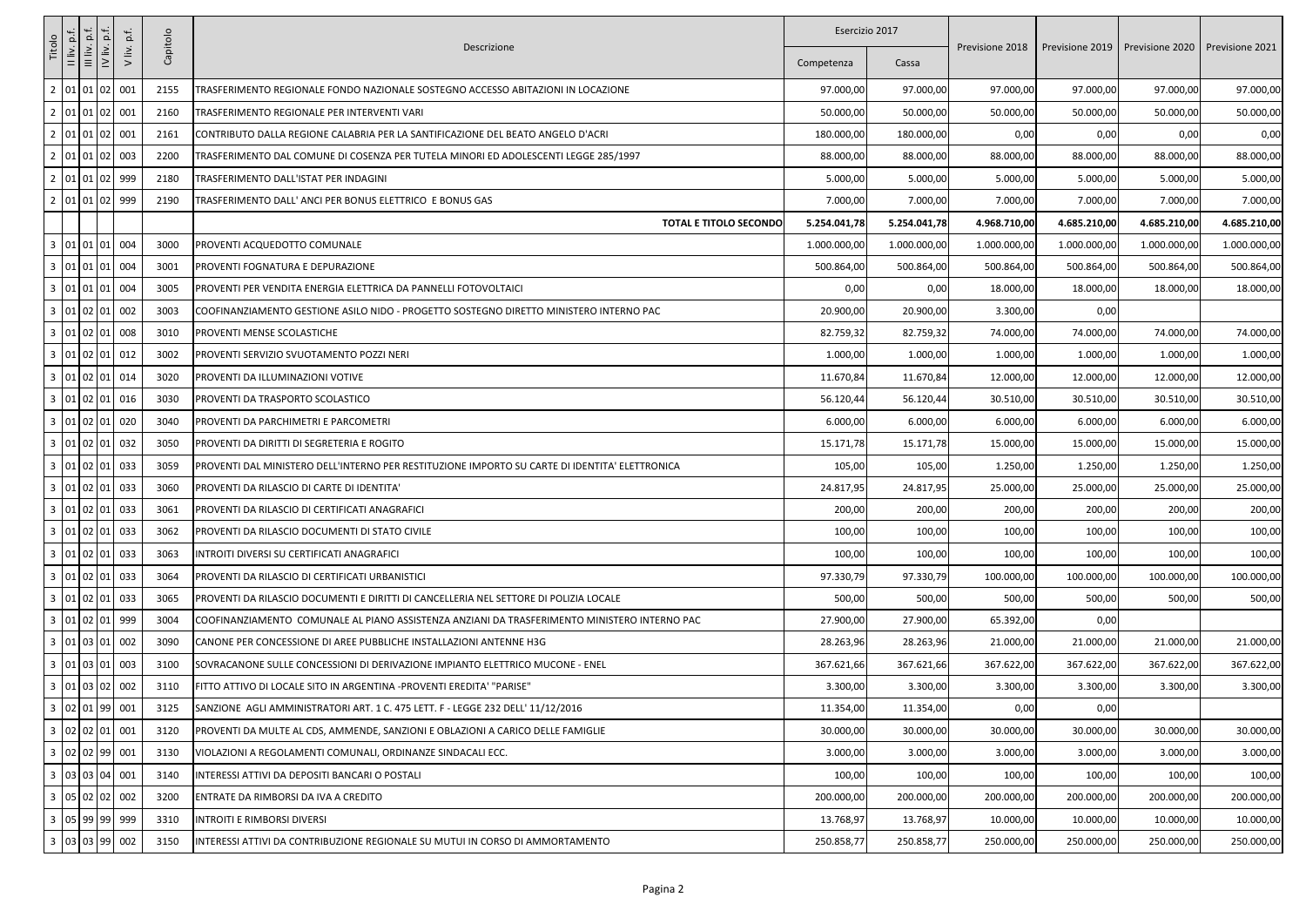|              | $\overline{a}$                | $\Omega$ | p.f.                |          | Descrizione                                                                                    | Esercizio 2017 |              |                 |              |              |                                                     |
|--------------|-------------------------------|----------|---------------------|----------|------------------------------------------------------------------------------------------------|----------------|--------------|-----------------|--------------|--------------|-----------------------------------------------------|
| Titolo       | $     \ddot{v}$ .<br>$\equiv$ | $\geq$   | $\dot{=}$<br>$\geq$ | Capitolo |                                                                                                | Competenza     | Cassa        | Previsione 2018 |              |              | Previsione 2019   Previsione 2020   Previsione 2021 |
|              | 2  01 01 02 001               |          |                     | 2155     | TRASFERIMENTO REGIONALE FONDO NAZIONALE SOSTEGNO ACCESSO ABITAZIONI IN LOCAZIONE               | 97.000,00      | 97.000,00    | 97.000,00       | 97.000,00    | 97.000,00    | 97.000,00                                           |
|              | 2  01  01  02                 |          | 001                 | 2160     | TRASFERIMENTO REGIONALE PER INTERVENTI VARI                                                    | 50.000,00      | 50.000,00    | 50.000,00       | 50.000,00    | 50.000,00    | 50.000,00                                           |
|              | 2  01 01 02 001               |          |                     | 2161     | CONTRIBUTO DALLA REGIONE CALABRIA PER LA SANTIFICAZIONE DEL BEATO ANGELO D'ACRI                | 180.000,00     | 180.000,00   | 0,00            | 0,00         | 0,00         | 0,00                                                |
|              | 2  01 01 02 003               |          |                     | 2200     | TRASFERIMENTO DAL COMUNE DI COSENZA PER TUTELA MINORI ED ADOLESCENTI LEGGE 285/1997            | 88.000,00      | 88.000,00    | 88.000,00       | 88.000,00    | 88.000,00    | 88.000,00                                           |
|              | 2 01 01 02 999                |          |                     | 2180     | TRASFERIMENTO DALL'ISTAT PER INDAGINI                                                          | 5.000,00       | 5.000,00     | 5.000,00        | 5.000,00     | 5.000,00     | 5.000,00                                            |
|              | 2 01 01 02 999                |          |                     | 2190     | TRASFERIMENTO DALL' ANCI PER BONUS ELETTRICO E BONUS GAS                                       | 7.000,00       | 7.000,00     | 7.000,00        | 7.000,00     | 7.000,00     | 7.000,00                                            |
|              |                               |          |                     |          | <b>TOTAL E TITOLO SECONDO</b>                                                                  | 5.254.041,78   | 5.254.041,78 | 4.968.710,00    | 4.685.210,00 | 4.685.210,00 | 4.685.210,00                                        |
|              | 3   01   01   01   004        |          |                     | 3000     | PROVENTI ACQUEDOTTO COMUNALE                                                                   | 1.000.000,00   | 1.000.000,00 | 1.000.000,00    | 1.000.000,00 | 1.000.000,00 | 1.000.000,00                                        |
|              | 3   01   01   01   004        |          |                     | 3001     | PROVENTI FOGNATURA E DEPURAZIONE                                                               | 500.864,00     | 500.864,00   | 500.864,00      | 500.864,00   | 500.864,00   | 500.864,00                                          |
|              | 3   01   01   01   004        |          |                     | 3005     | PROVENTI PER VENDITA ENERGIA ELETTRICA DA PANNELLI FOTOVOLTAICI                                | 0,00           | 0,00         | 18.000,00       | 18.000,00    | 18.000,00    | 18.000,00                                           |
|              | 3   01   02   01   002        |          |                     | 3003     | COOFINANZIAMENTO GESTIONE ASILO NIDO - PROGETTO SOSTEGNO DIRETTO MINISTERO INTERNO PAC         | 20.900,00      | 20.900,00    | 3.300,00        | 0,00         |              |                                                     |
| $\mathbf{3}$ | 01 02 01 008                  |          |                     | 3010     | PROVENTI MENSE SCOLASTICHE                                                                     | 82.759,32      | 82.759,32    | 74.000,00       | 74.000,00    | 74.000,00    | 74.000,00                                           |
|              | 3   01   02   01   012        |          |                     | 3002     | PROVENTI SERVIZIO SVUOTAMENTO POZZI NERI                                                       | 1.000,00       | 1.000,00     | 1.000,00        | 1.000,00     | 1.000,00     | 1.000,00                                            |
|              | 3 01 02 01 014                |          |                     | 3020     | PROVENTI DA ILLUMINAZIONI VOTIVE                                                               | 11.670,84      | 11.670,84    | 12.000,00       | 12.000,00    | 12.000,00    | 12.000,00                                           |
|              | 3   01   02   01   016        |          |                     | 3030     | PROVENTI DA TRASPORTO SCOLASTICO                                                               | 56.120,44      | 56.120,44    | 30.510,00       | 30.510,00    | 30.510,00    | 30.510,00                                           |
|              | 3   01   02   01   020        |          |                     | 3040     | PROVENTI DA PARCHIMETRI E PARCOMETRI                                                           | 6.000,00       | 6.000,00     | 6.000,00        | 6.000,00     | 6.000,00     | 6.000,00                                            |
|              | 3   01   02   01   032        |          |                     | 3050     | PROVENTI DA DIRITTI DI SEGRETERIA E ROGITO                                                     | 15.171,78      | 15.171,78    | 15.000,00       | 15.000,00    | 15.000,00    | 15.000,00                                           |
|              | 3   01   02   01   033        |          |                     | 3059     | PROVENTI DAL MINISTERO DELL'INTERNO PER RESTITUZIONE IMPORTO SU CARTE DI IDENTITA' ELETTRONICA | 105,00         | 105,00       | 1.250,00        | 1.250,00     | 1.250,00     | 1.250,00                                            |
|              | 3   01   02   01   033        |          |                     | 3060     | PROVENTI DA RILASCIO DI CARTE DI IDENTITA'                                                     | 24.817,95      | 24.817,95    | 25.000,00       | 25.000,00    | 25.000,00    | 25.000,00                                           |
|              | 3   01   02   01   033        |          |                     | 3061     | PROVENTI DA RILASCIO DI CERTIFICATI ANAGRAFICI                                                 | 200,00         | 200,00       | 200,00          | 200,00       | 200,00       | 200,00                                              |
|              | 3   01   02   01   033        |          |                     | 3062     | PROVENTI DA RILASCIO DOCUMENTI DI STATO CIVILE                                                 | 100,00         | 100,00       | 100,00          | 100,00       | 100,00       | 100,00                                              |
|              | 3   01   02   01   033        |          |                     | 3063     | INTROITI DIVERSI SU CERTIFICATI ANAGRAFICI                                                     | 100,00         | 100,00       | 100,00          | 100,00       | 100,00       | 100,00                                              |
|              | 3   01   02   01   033        |          |                     | 3064     | PROVENTI DA RILASCIO DI CERTIFICATI URBANISTICI                                                | 97.330,79      | 97.330,79    | 100.000,00      | 100.000,00   | 100.000,00   | 100.000,00                                          |
|              | 3   01   02   01   033        |          |                     | 3065     | PROVENTI DA RILASCIO DOCUMENTI E DIRITTI DI CANCELLERIA NEL SETTORE DI POLIZIA LOCALE          | 500,00         | 500,00       | 500,00          | 500,00       | 500,00       | 500,00                                              |
|              | 3 01 02 01 999                |          |                     | 3004     | COOFINANZIAMENTO COMUNALE AL PIANO ASSISTENZA ANZIANI DA TRASFERIMENTO MINISTERO INTERNO PAC   | 27.900,00      | 27.900,00    | 65.392,00       | 0,00         |              |                                                     |
|              | 3   01   03   01   002        |          |                     | 3090     | CANONE PER CONCESSIONE DI AREE PUBBLICHE INSTALLAZIONI ANTENNE H3G                             | 28.263,96      | 28.263,96    | 21.000,00       | 21.000,00    | 21.000,00    | 21.000,00                                           |
|              | 3   01   03   01   003        |          |                     | 3100     | SOVRACANONE SULLE CONCESSIONI DI DERIVAZIONE IMPIANTO ELETTRICO MUCONE - ENEL                  | 367.621,66     | 367.621,66   | 367.622,00      | 367.622,00   | 367.622,00   | 367.622,00                                          |
|              | 3   01   03   02   002        |          |                     | 3110     | FITTO ATTIVO DI LOCALE SITO IN ARGENTINA -PROVENTI EREDITA' "PARISE"                           | 3.300,00       | 3.300,00     | 3.300,00        | 3.300,00     | 3.300,00     | 3.300,00                                            |
|              | 3 02 01 99 001                |          |                     | 3125     | SANZIONE AGLI AMMINISTRATORI ART. 1 C. 475 LETT. F - LEGGE 232 DELL' 11/12/2016                | 11.354,00      | 11.354,00    | 0,00            | 0,00         |              |                                                     |
|              | 3 02 02 01 001                |          |                     | 3120     | PROVENTI DA MULTE AL CDS, AMMENDE, SANZIONI E OBLAZIONI A CARICO DELLE FAMIGLIE                | 30.000,00      | 30.000,00    | 30.000,00       | 30.000,00    | 30.000,00    | 30.000,00                                           |
|              | 3 02 02 99 001                |          |                     | 3130     | VIOLAZIONI A REGOLAMENTI COMUNALI, ORDINANZE SINDACALI ECC.                                    | 3.000,00       | 3.000,00     | 3.000,00        | 3.000,00     | 3.000,00     | 3.000,00                                            |
|              | 3 03 03 04 001                |          |                     | 3140     | INTERESSI ATTIVI DA DEPOSITI BANCARI O POSTALI                                                 | 100,00         | 100,00       | 100,00          | 100,00       | 100,00       | 100,00                                              |
|              | 3   05   02   02   002        |          |                     | 3200     | ENTRATE DA RIMBORSI DA IVA A CREDITO                                                           | 200.000,00     | 200.000,00   | 200.000,00      | 200.000,00   | 200.000,00   | 200.000,00                                          |
|              | 3 05 99 99 999                |          |                     | 3310     | INTROITI E RIMBORSI DIVERSI                                                                    | 13.768,97      | 13.768,97    | 10.000,00       | 10.000,00    | 10.000,00    | 10.000,00                                           |
|              | 3 03 03 99 002                |          |                     | 3150     | INTERESSI ATTIVI DA CONTRIBUZIONE REGIONALE SU MUTUI IN CORSO DI AMMORTAMENTO                  | 250.858,77     | 250.858,77   | 250.000,00      | 250.000,00   | 250.000,00   | 250.000,00                                          |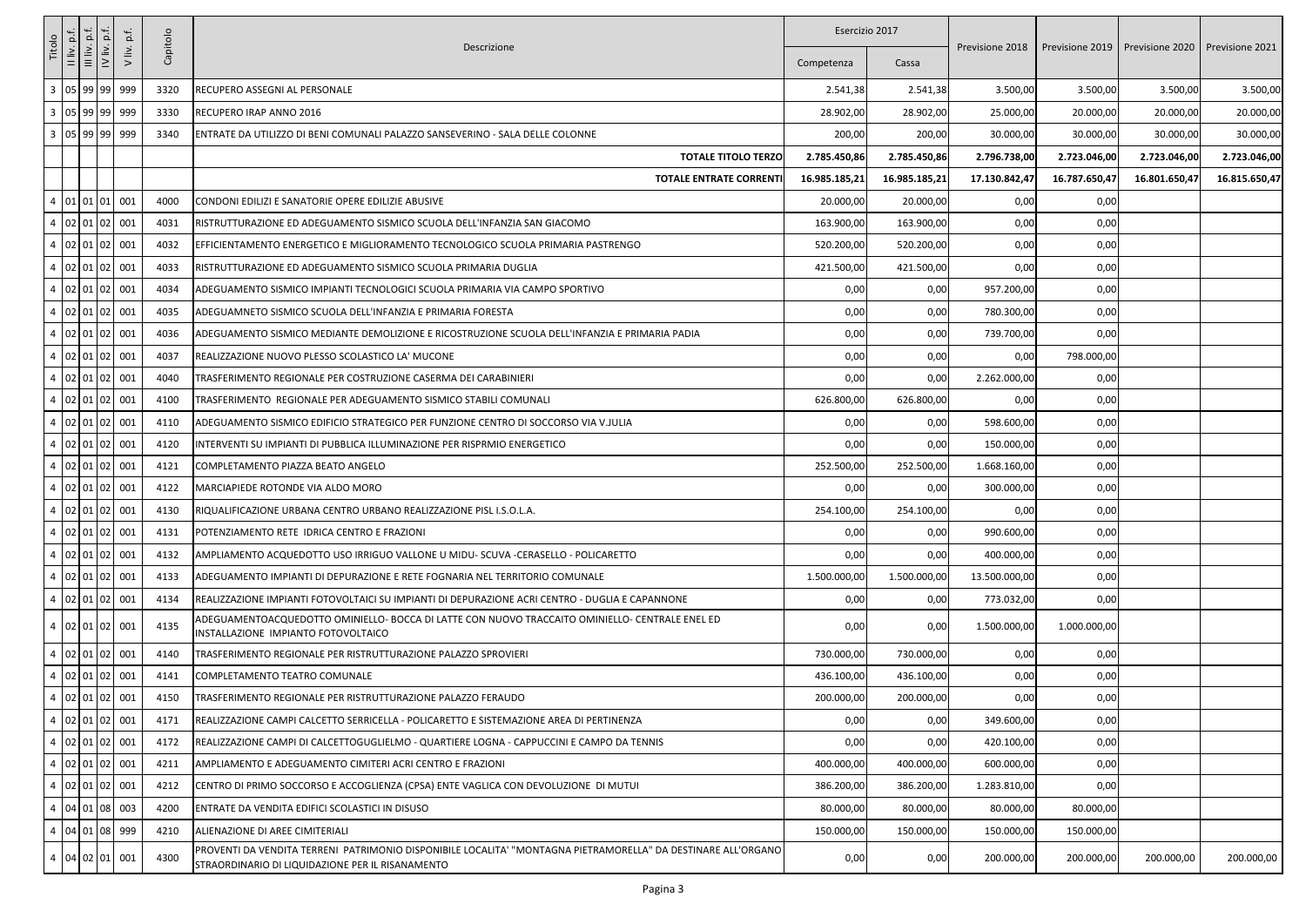| Titolo         | II liv. p.f.<br>$\dot{\mathbf{a}}$ |        | p.f.           | Capitolo | Descrizione                                                                                                                                                       | Esercizio 2017 |               | Previsione 2018 | Previsione 2019   Previsione 2020   Previsione 2021 |               |               |
|----------------|------------------------------------|--------|----------------|----------|-------------------------------------------------------------------------------------------------------------------------------------------------------------------|----------------|---------------|-----------------|-----------------------------------------------------|---------------|---------------|
|                | $III$ liv.                         | $\geq$ | V liv.         |          |                                                                                                                                                                   | Competenza     | Cassa         |                 |                                                     |               |               |
|                | 3 05 99 99 999                     |        |                | 3320     | RECUPERO ASSEGNI AL PERSONALE                                                                                                                                     | 2.541,38       | 2.541,38      | 3.500,00        | 3.500,00                                            | 3.500,00      | 3.500,00      |
|                | 3  05   99   99   999              |        |                | 3330     | RECUPERO IRAP ANNO 2016                                                                                                                                           | 28.902,00      | 28.902,00     | 25.000,00       | 20.000,00                                           | 20.000,00     | 20.000,00     |
| $\mathbf{3}$   | $ 05 99 99$ 999                    |        |                | 3340     | ENTRATE DA UTILIZZO DI BENI COMUNALI PALAZZO SANSEVERINO - SALA DELLE COLONNE                                                                                     | 200,00         | 200,00        | 30.000,00       | 30.000,00                                           | 30.000,00     | 30.000,00     |
|                |                                    |        |                |          | <b>TOTALE TITOLO TERZO</b>                                                                                                                                        | 2.785.450,86   | 2.785.450,86  | 2.796.738,00    | 2.723.046,00                                        | 2.723.046,00  | 2.723.046,00  |
|                |                                    |        |                |          | <b>TOTALE ENTRATE CORRENTI</b>                                                                                                                                    | 16.985.185,21  | 16.985.185,21 | 17.130.842,47   | 16.787.650,47                                       | 16.801.650,47 | 16.815.650,47 |
| $\overline{4}$ | 01 01 01 001                       |        |                | 4000     | CONDONI EDILIZI E SANATORIE OPERE EDILIZIE ABUSIVE                                                                                                                | 20.000,00      | 20.000,00     | 0,00            | 0,00                                                |               |               |
|                | 4   02   01   02   001             |        |                | 4031     | RISTRUTTURAZIONE ED ADEGUAMENTO SISMICO SCUOLA DELL'INFANZIA SAN GIACOMO                                                                                          | 163.900,00     | 163.900,00    | 0,00            | 0,00                                                |               |               |
| 4              | 02 01 02 001                       |        |                | 4032     | EFFICIENTAMENTO ENERGETICO E MIGLIORAMENTO TECNOLOGICO SCUOLA PRIMARIA PASTRENGO                                                                                  | 520.200,00     | 520.200,00    | 0,00            | 0,00                                                |               |               |
| 4              | 02 01 02 001                       |        |                | 4033     | IRISTRUTTURAZIONE ED ADEGUAMENTO SISMICO SCUOLA PRIMARIA DUGLIA                                                                                                   | 421.500,00     | 421.500,00    | 0,00            | 0,00                                                |               |               |
|                | 4   02   01   02   001             |        |                | 4034     | ADEGUAMENTO SISMICO IMPIANTI TECNOLOGICI SCUOLA PRIMARIA VIA CAMPO SPORTIVO                                                                                       | 0,00           | 0,00          | 957.200,00      | 0,00                                                |               |               |
|                | 4 02 01 02 001                     |        |                | 4035     | ADEGUAMNETO SISMICO SCUOLA DELL'INFANZIA E PRIMARIA FORESTA                                                                                                       | 0,00           | 0,00          | 780.300,00      | 0,00                                                |               |               |
| 4              | 02 01 02 001                       |        |                | 4036     | ADEGUAMENTO SISMICO MEDIANTE DEMOLIZIONE E RICOSTRUZIONE SCUOLA DELL'INFANZIA E PRIMARIA PADIA                                                                    | 0,00           | 0,00          | 739.700,00      | 0,00                                                |               |               |
|                | 4 02 01 02 001                     |        |                | 4037     | REALIZZAZIONE NUOVO PLESSO SCOLASTICO LA' MUCONE                                                                                                                  | 0,00           | 0,00          | 0,00            | 798.000,00                                          |               |               |
|                | 02 01 02 001                       |        |                | 4040     | TRASFERIMENTO REGIONALE PER COSTRUZIONE CASERMA DEI CARABINIERI                                                                                                   | 0,00           | 0,00          | 2.262.000,00    | 0,00                                                |               |               |
|                | 4 02 01 02 001                     |        |                | 4100     | TRASFERIMENTO REGIONALE PER ADEGUAMENTO SISMICO STABILI COMUNALI                                                                                                  | 626.800,00     | 626.800,00    | 0,00            | 0,00                                                |               |               |
|                | 4 02 01 02 001                     |        |                | 4110     | ADEGUAMENTO SISMICO EDIFICIO STRATEGICO PER FUNZIONE CENTRO DI SOCCORSO VIA V.JULIA                                                                               | 0,00           | 0,00          | 598.600,00      | 0,00                                                |               |               |
| 4              | 02 01 02 001                       |        |                | 4120     | IINTERVENTI SU IMPIANTI DI PUBBLICA ILLUMINAZIONE PER RISPRMIO ENERGETICO                                                                                         | 0,00           | 0,00          | 150.000,00      | 0,00                                                |               |               |
|                | 4   02   01   02   001             |        |                | 4121     | COMPLETAMENTO PIAZZA BEATO ANGELO                                                                                                                                 | 252.500,00     | 252.500,00    | 1.668.160,00    | 0,00                                                |               |               |
|                | 4 02 01 02 001                     |        |                | 4122     | MARCIAPIEDE ROTONDE VIA ALDO MORO                                                                                                                                 | 0,00           | 0,00          | 300.000,00      | 0,00                                                |               |               |
|                |                                    |        | 4 02 01 02 001 | 4130     | RIQUALIFICAZIONE URBANA CENTRO URBANO REALIZZAZIONE PISL I.S.O.L.A.                                                                                               | 254.100,00     | 254.100,00    | 0,00            | 0,00                                                |               |               |
|                | 4   02   01   02   001             |        |                | 4131     | POTENZIAMENTO RETE IDRICA CENTRO E FRAZIONI                                                                                                                       | 0,00           | 0,00          | 990.600,00      | 0,00                                                |               |               |
|                | 4 02 01 02 001                     |        |                | 4132     | AMPLIAMENTO ACQUEDOTTO USO IRRIGUO VALLONE U MIDU- SCUVA -CERASELLO - POLICARETTO                                                                                 | 0,00           | 0,00          | 400.000,00      | 0,00                                                |               |               |
|                | 4   02   01   02   001             |        |                | 4133     | IADEGUAMENTO IMPIANTI DI DEPURAZIONE E RETE FOGNARIA NEL TERRITORIO COMUNALE                                                                                      | 1.500.000,00   | 1.500.000,00  | 13.500.000,00   | 0,00                                                |               |               |
|                | 4   02   01   02   001             |        |                | 4134     | REALIZZAZIONE IMPIANTI FOTOVOLTAICI SU IMPIANTI DI DEPURAZIONE ACRI CENTRO - DUGLIA E CAPANNONE                                                                   | 0,00           | 0,00          | 773.032,00      | 0,00                                                |               |               |
|                | 4 02 01 02 001                     |        |                | 4135     | ADEGUAMENTOACQUEDOTTO OMINIELLO- BOCCA DI LATTE CON NUOVO TRACCAITO OMINIELLO- CENTRALE ENEL ED<br>INSTALLAZIONE IMPIANTO FOTOVOLTAICO                            | 0,00           | 0,00          | 1.500.000,00    | 1.000.000,00                                        |               |               |
|                | 4 02 01 02 001                     |        |                | 4140     | TRASFERIMENTO REGIONALE PER RISTRUTTURAZIONE PALAZZO SPROVIERI                                                                                                    | 730.000,00     | 730.000,00    | 0,00            | 0,00                                                |               |               |
|                | 4 02 01 02 001                     |        |                | 4141     | COMPLETAMENTO TEATRO COMUNALE                                                                                                                                     | 436.100,00     | 436.100,00    | 0,00            | 0,00                                                |               |               |
|                | 4 02 01 02 001                     |        |                | 4150     | TRASFERIMENTO REGIONALE PER RISTRUTTURAZIONE PALAZZO FERAUDO                                                                                                      | 200.000,00     | 200.000,00    | 0,00            | 0,00                                                |               |               |
|                | 4 02 01 02 001                     |        |                | 4171     | REALIZZAZIONE CAMPI CALCETTO SERRICELLA - POLICARETTO E SISTEMAZIONE AREA DI PERTINENZA                                                                           | 0,00           | 0,00          | 349.600,00      | 0,00                                                |               |               |
|                | 4   02   01   02   001             |        |                | 4172     | REALIZZAZIONE CAMPI DI CALCETTOGUGLIELMO - QUARTIERE LOGNA - CAPPUCCINI E CAMPO DA TENNIS                                                                         | 0,00           | 0,00          | 420.100,00      | 0,00                                                |               |               |
| $\overline{4}$ | 02 01 02 001                       |        |                | 4211     | AMPLIAMENTO E ADEGUAMENTO CIMITERI ACRI CENTRO E FRAZIONI                                                                                                         | 400.000,00     | 400.000,00    | 600.000,00      | 0,00                                                |               |               |
| $\overline{4}$ | 02 01 02 001                       |        |                | 4212     | CENTRO DI PRIMO SOCCORSO E ACCOGLIENZA (CPSA) ENTE VAGLICA CON DEVOLUZIONE DI MUTUI                                                                               | 386.200,00     | 386.200,00    | 1.283.810,00    | 0,00                                                |               |               |
|                | 4   04   01   08   003             |        |                | 4200     | ENTRATE DA VENDITA EDIFICI SCOLASTICI IN DISUSO                                                                                                                   | 80.000,00      | 80.000,00     | 80.000,00       | 80.000,00                                           |               |               |
|                | 04 01 08 999                       |        |                | 4210     | ALIENAZIONE DI AREE CIMITERIALI                                                                                                                                   | 150.000,00     | 150.000,00    | 150.000,00      | 150.000,00                                          |               |               |
|                | 4 04 02 01 001                     |        |                | 4300     | PROVENTI DA VENDITA TERRENI PATRIMONIO DISPONIBILE LOCALITA' "MONTAGNA PIETRAMORELLA" DA DESTINARE ALL'ORGANO<br>STRAORDINARIO DI LIQUIDAZIONE PER IL RISANAMENTO | 0,00           | 0,00          | 200.000,00      | 200.000,00                                          | 200.000,00    | 200.000,00    |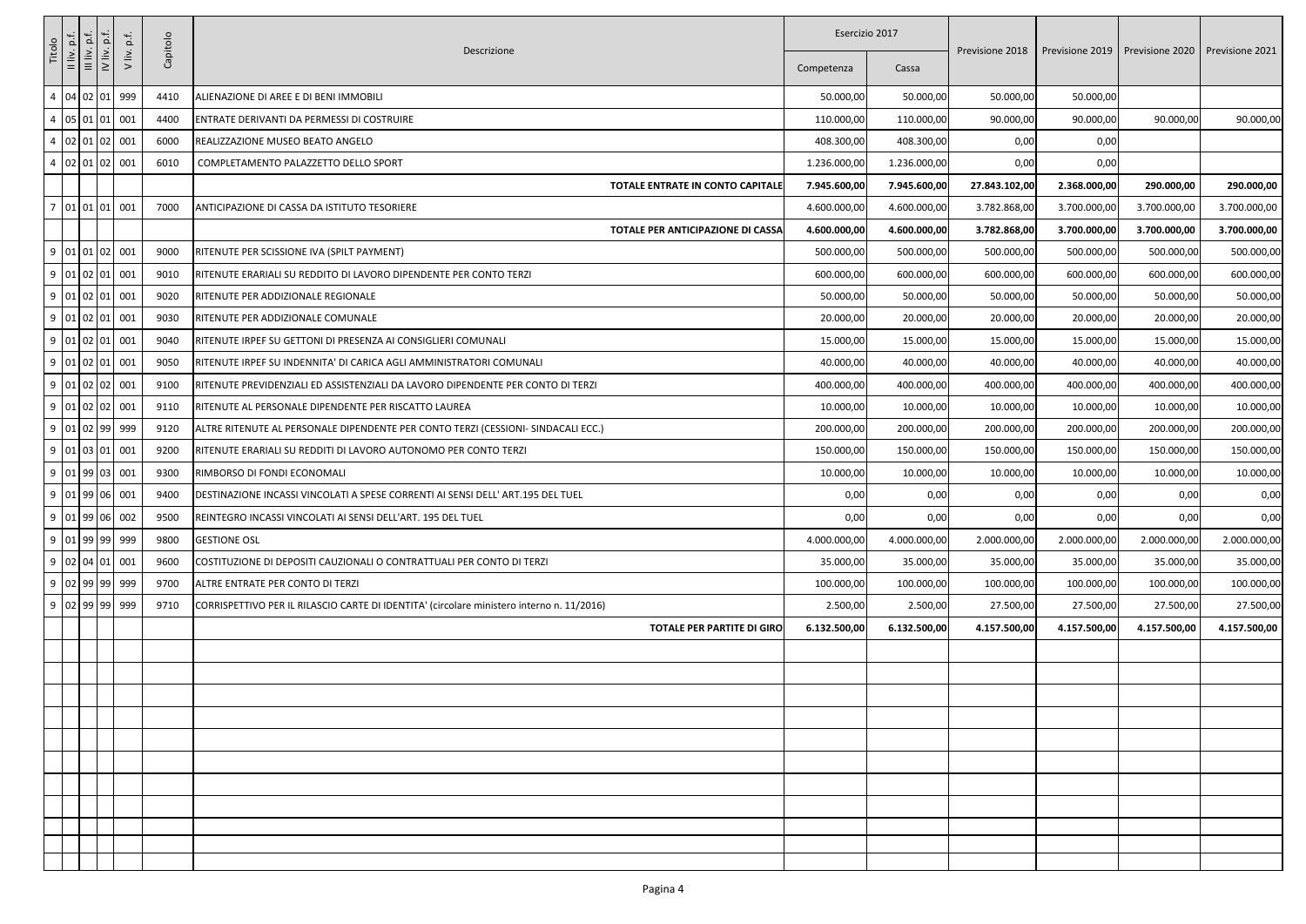|                | $\overline{p}$ .f.         | $\dot{\Omega}$ | p.f.                                      |          |                                                                                           | Esercizio 2017 |              |                 |                                   |              |                 |
|----------------|----------------------------|----------------|-------------------------------------------|----------|-------------------------------------------------------------------------------------------|----------------|--------------|-----------------|-----------------------------------|--------------|-----------------|
| Titolo         | II liv. p.f.<br>$III$ liv. | Vil N          | $\underline{\dot{\varepsilon}}$<br>$\geq$ | Capitolo | Descrizione                                                                               | Competenza     | Cassa        | Previsione 2018 | Previsione 2019   Previsione 2020 |              | Previsione 2021 |
|                | 4 04 02 01 999             |                |                                           | 4410     | ALIENAZIONE DI AREE E DI BENI IMMOBILI                                                    | 50.000,00      | 50.000,00    | 50.000,00       | 50.000,00                         |              |                 |
|                | 4 05 01 01 001             |                |                                           | 4400     | ENTRATE DERIVANTI DA PERMESSI DI COSTRUIRE                                                | 110.000,00     | 110.000,00   | 90.000,00       | 90.000,00                         | 90.000,00    | 90.000,00       |
|                | 4 02 01 02 001             |                |                                           | 6000     | REALIZZAZIONE MUSEO BEATO ANGELO                                                          | 408.300,00     | 408.300,00   | 0,00            | 0,00                              |              |                 |
|                | 4 02 01 02 001             |                |                                           | 6010     | COMPLETAMENTO PALAZZETTO DELLO SPORT                                                      | 1.236.000,00   | 1.236.000,00 | 0,00            | 0,00                              |              |                 |
|                |                            |                |                                           |          | TOTALE ENTRATE IN CONTO CAPITALE                                                          | 7.945.600,00   | 7.945.600,00 | 27.843.102,00   | 2.368.000,00                      | 290.000,00   | 290.000,00      |
| $\overline{7}$ | 01 01 01 001               |                |                                           | 7000     | <b>ANTICIPAZIONE DI CASSA DA ISTITUTO TESORIERE</b>                                       | 4.600.000,00   | 4.600.000,00 | 3.782.868,00    | 3.700.000,00                      | 3.700.000,00 | 3.700.000,00    |
|                |                            |                |                                           |          | TOTALE PER ANTICIPAZIONE DI CASSA                                                         | 4.600.000,00   | 4.600.000,00 | 3.782.868,00    | 3.700.000,00                      | 3.700.000,00 | 3.700.000,00    |
|                | 9   01   01   02   001     |                |                                           | 9000     | RITENUTE PER SCISSIONE IVA (SPILT PAYMENT)                                                | 500.000,00     | 500.000,00   | 500.000,00      | 500.000,00                        | 500.000,00   | 500.000,00      |
|                | 9   01   02   01   001     |                |                                           | 9010     | RITENUTE ERARIALI SU REDDITO DI LAVORO DIPENDENTE PER CONTO TERZI                         | 600.000,00     | 600.000,00   | 600.000,00      | 600.000,00                        | 600.000,00   | 600.000,00      |
|                | 9  01 02 01 001            |                |                                           | 9020     | RITENUTE PER ADDIZIONALE REGIONALE                                                        | 50.000,00      | 50.000,00    | 50.000,00       | 50.000,00                         | 50.000,00    | 50.000,00       |
|                | 9 01 02 01 001             |                |                                           | 9030     | RITENUTE PER ADDIZIONALE COMUNALE                                                         | 20.000,00      | 20.000,00    | 20.000,00       | 20.000,00                         | 20.000,00    | 20.000,00       |
|                | 9   01   02   01   001     |                |                                           | 9040     | RITENUTE IRPEF SU GETTONI DI PRESENZA AI CONSIGLIERI COMUNALI                             | 15.000,00      | 15.000,00    | 15.000,00       | 15.000,00                         | 15.000,00    | 15.000,00       |
|                | 9   01   02   01   001     |                |                                           | 9050     | RITENUTE IRPEF SU INDENNITA' DI CARICA AGLI AMMINISTRATORI COMUNALI                       | 40.000,00      | 40.000,00    | 40.000,00       | 40.000,00                         | 40.000,00    | 40.000,00       |
|                | 9  01 02 02 001            |                |                                           | 9100     | RITENUTE PREVIDENZIALI ED ASSISTENZIALI DA LAVORO DIPENDENTE PER CONTO DI TERZI           | 400.000,00     | 400.000,00   | 400.000,00      | 400.000,00                        | 400.000,00   | 400.000,00      |
|                | 9   01   02   02   001     |                |                                           | 9110     | RITENUTE AL PERSONALE DIPENDENTE PER RISCATTO LAUREA                                      | 10.000,00      | 10.000,00    | 10.000,00       | 10.000,00                         | 10.000,00    | 10.000,00       |
|                | 9   01   02   99   999     |                |                                           | 9120     | ALTRE RITENUTE AL PERSONALE DIPENDENTE PER CONTO TERZI (CESSIONI- SINDACALI ECC.)         | 200.000,00     | 200.000,00   | 200.000,00      | 200.000,00                        | 200.000,00   | 200.000,00      |
|                | 9   01   03   01   001     |                |                                           | 9200     | RITENUTE ERARIALI SU REDDITI DI LAVORO AUTONOMO PER CONTO TERZI                           | 150.000,00     | 150.000,00   | 150.000,00      | 150.000,00                        | 150.000,00   | 150.000,00      |
|                | 9   01   99   03   001     |                |                                           | 9300     | RIMBORSO DI FONDI ECONOMALI                                                               | 10.000,00      | 10.000,00    | 10.000,00       | 10.000,00                         | 10.000,00    | 10.000,00       |
|                | 9   01   99   06   001     |                |                                           | 9400     | DESTINAZIONE INCASSI VINCOLATI A SPESE CORRENTI AI SENSI DELL'ART.195 DEL TUEL            | 0,00           | 0,00         | 0,00            | 0,00                              | 0,00         | 0,00            |
|                |                            |                | 9  01 99  06   002                        | 9500     | REINTEGRO INCASSI VINCOLATI AI SENSI DELL'ART. 195 DEL TUEL                               | 0,00           | 0,00         | 0,00            | 0,00                              | 0,00         | 0,00            |
|                |                            |                | 9 01 99 99 999                            | 9800     | <b>GESTIONE OSL</b>                                                                       | 4.000.000,00   | 4.000.000,00 | 2.000.000,00    | 2.000.000,00                      | 2.000.000,00 | 2.000.000,00    |
|                |                            |                | 9   02   04   01   001                    | 9600     | COSTITUZIONE DI DEPOSITI CAUZIONALI O CONTRATTUALI PER CONTO DI TERZI                     | 35.000,00      | 35.000,00    | 35.000,00       | 35.000,00                         | 35.000,00    | 35.000,00       |
|                |                            |                | 9   02   99   99   999                    | 9700     | ALTRE ENTRATE PER CONTO DI TERZI                                                          | 100.000,00     | 100.000,00   | 100.000,00      | 100.000,00                        | 100.000,00   | 100.000,00      |
|                |                            |                | 9   02   99   99   999                    | 9710     | CORRISPETTIVO PER IL RILASCIO CARTE DI IDENTITA' (circolare ministero interno n. 11/2016) | 2.500,00       | 2.500,00     | 27.500,00       | 27.500,00                         | 27.500,00    | 27.500,00       |
|                |                            |                |                                           |          | <b>TOTALE PER PARTITE DI GIRO</b>                                                         | 6.132.500,00   | 6.132.500,00 | 4.157.500,00    | 4.157.500,00                      | 4.157.500,00 | 4.157.500,00    |
|                |                            |                |                                           |          |                                                                                           |                |              |                 |                                   |              |                 |
|                |                            |                |                                           |          |                                                                                           |                |              |                 |                                   |              |                 |
|                |                            |                |                                           |          |                                                                                           |                |              |                 |                                   |              |                 |
|                |                            |                |                                           |          |                                                                                           |                |              |                 |                                   |              |                 |
|                |                            |                |                                           |          |                                                                                           |                |              |                 |                                   |              |                 |
|                |                            |                |                                           |          |                                                                                           |                |              |                 |                                   |              |                 |
|                |                            |                |                                           |          |                                                                                           |                |              |                 |                                   |              |                 |
|                |                            |                |                                           |          |                                                                                           |                |              |                 |                                   |              |                 |
|                |                            |                |                                           |          |                                                                                           |                |              |                 |                                   |              |                 |
|                |                            |                |                                           |          |                                                                                           |                |              |                 |                                   |              |                 |
|                |                            |                |                                           |          |                                                                                           |                |              |                 |                                   |              |                 |